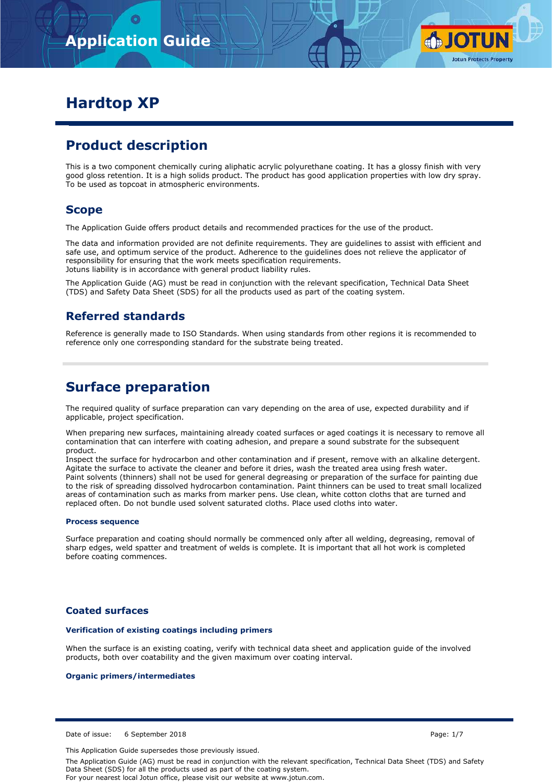

# **Hardtop XP**

# **Product description**

This is a two component chemically curing aliphatic acrylic polyurethane coating. It has a glossy finish with very good gloss retention. It is a high solids product. The product has good application properties with low dry spray. To be used as topcoat in atmospheric environments.

## **Scope**

The Application Guide offers product details and recommended practices for the use of the product.

The data and information provided are not definite requirements. They are guidelines to assist with efficient and safe use, and optimum service of the product. Adherence to the guidelines does not relieve the applicator of responsibility for ensuring that the work meets specification requirements. Jotuns liability is in accordance with general product liability rules.

The Application Guide (AG) must be read in conjunction with the relevant specification, Technical Data Sheet (TDS) and Safety Data Sheet (SDS) for all the products used as part of the coating system.

## **Referred standards**

Reference is generally made to ISO Standards. When using standards from other regions it is recommended to reference only one corresponding standard for the substrate being treated.

## **Surface preparation**

The required quality of surface preparation can vary depending on the area of use, expected durability and if applicable, project specification.

When preparing new surfaces, maintaining already coated surfaces or aged coatings it is necessary to remove all contamination that can interfere with coating adhesion, and prepare a sound substrate for the subsequent product.

Inspect the surface for hydrocarbon and other contamination and if present, remove with an alkaline detergent. Agitate the surface to activate the cleaner and before it dries, wash the treated area using fresh water. Paint solvents (thinners) shall not be used for general degreasing or preparation of the surface for painting due to the risk of spreading dissolved hydrocarbon contamination. Paint thinners can be used to treat small localized areas of contamination such as marks from marker pens. Use clean, white cotton cloths that are turned and replaced often. Do not bundle used solvent saturated cloths. Place used cloths into water.

#### **Process sequence**

Surface preparation and coating should normally be commenced only after all welding, degreasing, removal of sharp edges, weld spatter and treatment of welds is complete. It is important that all hot work is completed before coating commences.

### **Coated surfaces**

#### **Verification of existing coatings including primers**

When the surface is an existing coating, verify with technical data sheet and application guide of the involved products, both over coatability and the given maximum over coating interval.

#### **Organic primers/intermediates**

Date of issue: 6 September 2018 **Page: 1/7** Page: 1/7

This Application Guide supersedes those previously issued.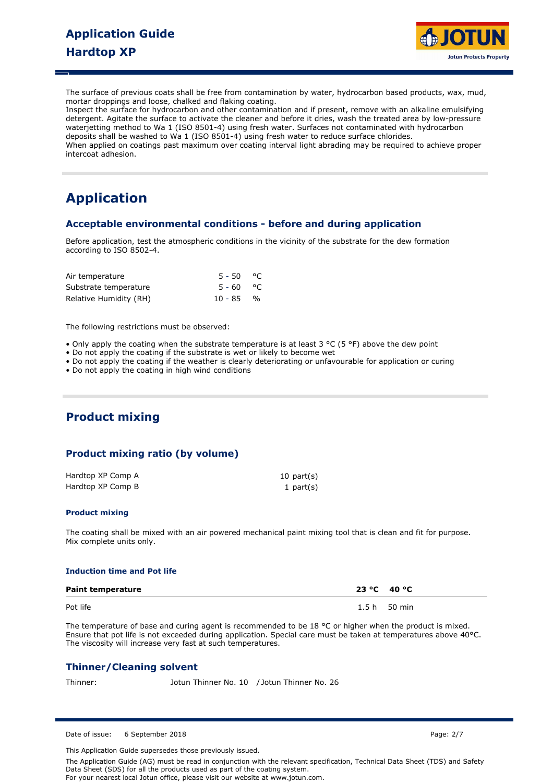

The surface of previous coats shall be free from contamination by water, hydrocarbon based products, wax, mud, mortar droppings and loose, chalked and flaking coating.

Inspect the surface for hydrocarbon and other contamination and if present, remove with an alkaline emulsifying detergent. Agitate the surface to activate the cleaner and before it dries, wash the treated area by low-pressure waterjetting method to Wa 1 (ISO 8501-4) using fresh water. Surfaces not contaminated with hydrocarbon deposits shall be washed to Wa 1 (ISO 8501-4) using fresh water to reduce surface chlorides. When applied on coatings past maximum over coating interval light abrading may be required to achieve proper intercoat adhesion.

# **Application**

### **Acceptable environmental conditions - before and during application**

Before application, test the atmospheric conditions in the vicinity of the substrate for the dew formation according to ISO 8502-4.

| Air temperature        | $5 - 50$ °C |  |  |
|------------------------|-------------|--|--|
| Substrate temperature  | 5-60 °C     |  |  |
| Relative Humidity (RH) | $10 - 85$ % |  |  |

The following restrictions must be observed:

- Only apply the coating when the substrate temperature is at least  $3 \text{ °C}$  (5 °F) above the dew point
- Do not apply the coating if the substrate is wet or likely to become wet
- Do not apply the coating if the weather is clearly deteriorating or unfavourable for application or curing
- Do not apply the coating in high wind conditions

## **Product mixing**

### **Product mixing ratio (by volume)**

| Hardtop XP Comp A | $10$ part $(s)$ |
|-------------------|-----------------|
| Hardtop XP Comp B | 1 $part(s)$     |

#### **Product mixing**

The coating shall be mixed with an air powered mechanical paint mixing tool that is clean and fit for purpose. Mix complete units only.

#### **Induction time and Pot life**

| <b>Paint temperature</b> | 23 °C 40 °C  |  |
|--------------------------|--------------|--|
| Pot life                 | 1.5 h 50 min |  |

The temperature of base and curing agent is recommended to be 18 °C or higher when the product is mixed. Ensure that pot life is not exceeded during application. Special care must be taken at temperatures above 40°C. The viscosity will increase very fast at such temperatures.

### **Thinner/Cleaning solvent**

Thinner: Jotun Thinner No. 10 / Jotun Thinner No. 26

Date of issue: 6 September 2018 **Page: 2/7** Page: 2/7

This Application Guide supersedes those previously issued.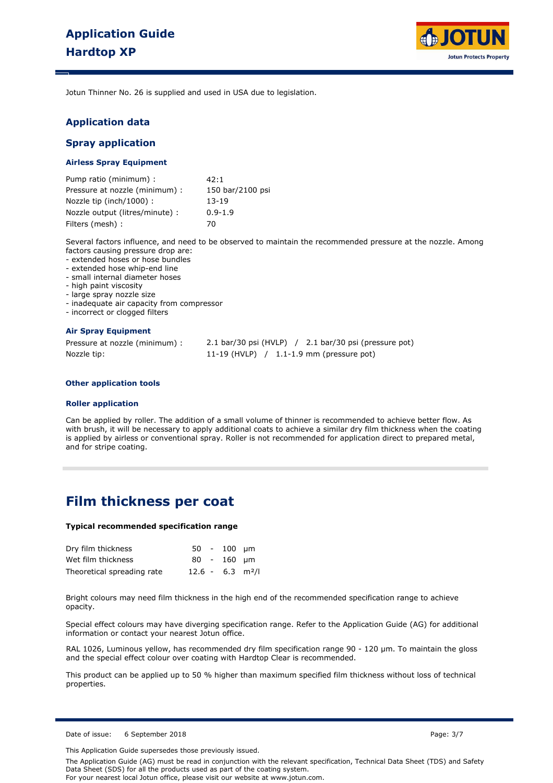

Jotun Thinner No. 26 is supplied and used in USA due to legislation.

### **Application data**

#### **Spray application**

#### **Airless Spray Equipment**

| Pump ratio (minimum) :          | 42:1             |
|---------------------------------|------------------|
| Pressure at nozzle (minimum) :  | 150 bar/2100 psi |
| Nozzle tip (inch/1000):         | $13-19$          |
| Nozzle output (litres/minute) : | $0.9 - 1.9$      |
| Filters (mesh) :                | 70               |

Several factors influence, and need to be observed to maintain the recommended pressure at the nozzle. Among factors causing pressure drop are:

- extended hoses or hose bundles - extended hose whip-end line

- small internal diameter hoses

- high paint viscosity

- large spray nozzle size

- inadequate air capacity from compressor

- incorrect or clogged filters

#### **Air Spray Equipment**

| Pressure at nozzle (minimum) : | $2.1$ bar/30 psi (HVLP) $/2.1$ bar/30 psi (pressure pot) |
|--------------------------------|----------------------------------------------------------|
| Nozzle tip:                    | 11-19 (HVLP) $/$ 1.1-1.9 mm (pressure pot)               |

#### **Other application tools**

#### **Roller application**

Can be applied by roller. The addition of a small volume of thinner is recommended to achieve better flow. As with brush, it will be necessary to apply additional coats to achieve a similar dry film thickness when the coating is applied by airless or conventional spray. Roller is not recommended for application direct to prepared metal, and for stripe coating.

## **Film thickness per coat**

#### **Typical recommended specification range**

| Dry film thickness         |                                | $50 - 100$ um |  |
|----------------------------|--------------------------------|---------------|--|
| Wet film thickness         |                                | $80 - 160$ um |  |
| Theoretical spreading rate | $12.6 - 6.3$ m <sup>2</sup> /l |               |  |

Bright colours may need film thickness in the high end of the recommended specification range to achieve opacity.

Special effect colours may have diverging specification range. Refer to the Application Guide (AG) for additional information or contact your nearest Jotun office.

RAL 1026, Luminous yellow, has recommended dry film specification range 90 - 120 µm. To maintain the gloss and the special effect colour over coating with Hardtop Clear is recommended.

This product can be applied up to 50 % higher than maximum specified film thickness without loss of technical properties.

Date of issue: 6 September 2018 **Page: 3/7** Page: 3/7

This Application Guide supersedes those previously issued.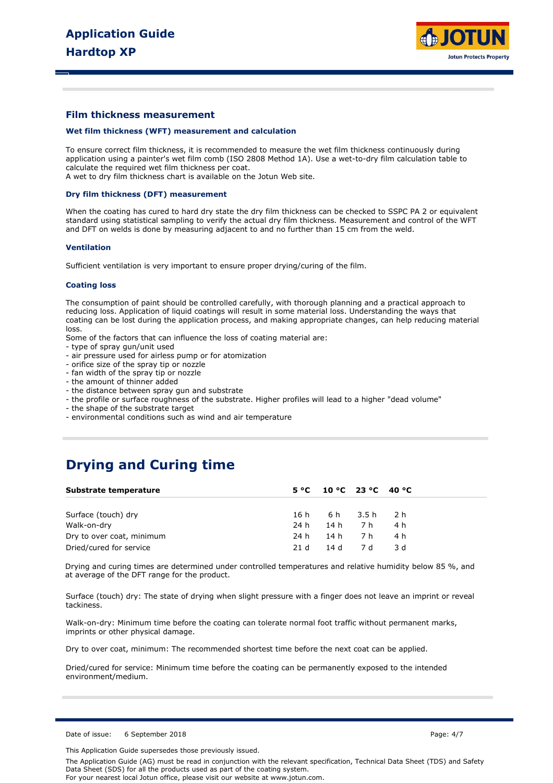

### **Film thickness measurement**

#### **Wet film thickness (WFT) measurement and calculation**

To ensure correct film thickness, it is recommended to measure the wet film thickness continuously during application using a painter's wet film comb (ISO 2808 Method 1A). Use a wet-to-dry film calculation table to calculate the required wet film thickness per coat.

A wet to dry film thickness chart is available on the Jotun Web site.

#### **Dry film thickness (DFT) measurement**

When the coating has cured to hard dry state the dry film thickness can be checked to SSPC PA 2 or equivalent standard using statistical sampling to verify the actual dry film thickness. Measurement and control of the WFT and DFT on welds is done by measuring adjacent to and no further than 15 cm from the weld.

#### **Ventilation**

Sufficient ventilation is very important to ensure proper drying/curing of the film.

#### **Coating loss**

The consumption of paint should be controlled carefully, with thorough planning and a practical approach to reducing loss. Application of liquid coatings will result in some material loss. Understanding the ways that coating can be lost during the application process, and making appropriate changes, can help reducing material loss.

Some of the factors that can influence the loss of coating material are:

- type of spray gun/unit used
- air pressure used for airless pump or for atomization
- orifice size of the spray tip or nozzle
- fan width of the spray tip or nozzle
- the amount of thinner added
- the distance between spray gun and substrate
- the profile or surface roughness of the substrate. Higher profiles will lead to a higher "dead volume"
- the shape of the substrate target
- environmental conditions such as wind and air temperature

## **Drying and Curing time**

| Substrate temperature     |      |        | $5^{\circ}$ C 10 °C 23 °C 40 °C |      |
|---------------------------|------|--------|---------------------------------|------|
|                           |      |        |                                 |      |
| Surface (touch) dry       |      |        | 16h 6h 3.5h 2h                  |      |
| Walk-on-dry               | 24 h | 14h 7h |                                 | 4 h  |
| Dry to over coat, minimum | 24 h | 14h 7h |                                 | 4 h  |
| Dried/cured for service   | 21 d |        | 14 d 7 d                        | -3 d |

Drying and curing times are determined under controlled temperatures and relative humidity below 85 %, and at average of the DFT range for the product.

Surface (touch) dry: The state of drying when slight pressure with a finger does not leave an imprint or reveal tackiness.

Walk-on-dry: Minimum time before the coating can tolerate normal foot traffic without permanent marks, imprints or other physical damage.

Dry to over coat, minimum: The recommended shortest time before the next coat can be applied.

Dried/cured for service: Minimum time before the coating can be permanently exposed to the intended environment/medium.

Date of issue: 6 September 2018 **Page: 4/7** Page: 4/7

This Application Guide supersedes those previously issued.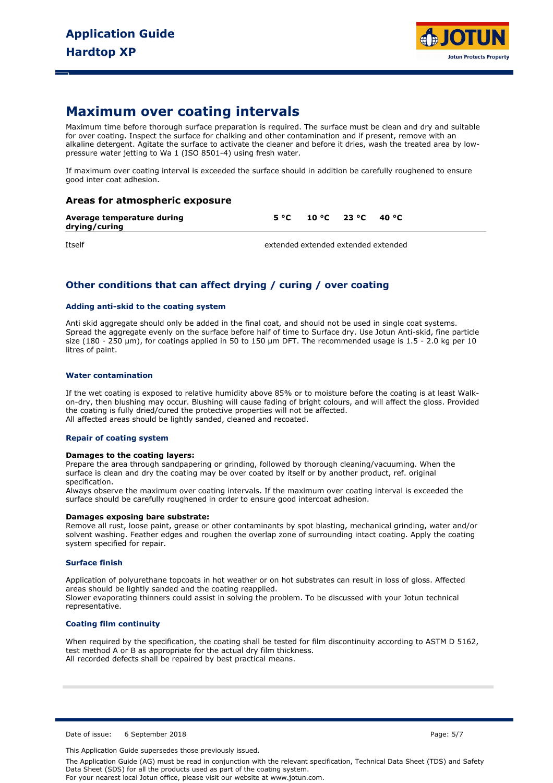

## **Maximum over coating intervals**

Maximum time before thorough surface preparation is required. The surface must be clean and dry and suitable for over coating. Inspect the surface for chalking and other contamination and if present, remove with an alkaline detergent. Agitate the surface to activate the cleaner and before it dries, wash the treated area by lowpressure water jetting to Wa 1 (ISO 8501-4) using fresh water.

If maximum over coating interval is exceeded the surface should in addition be carefully roughened to ensure good inter coat adhesion.

### **Areas for atmospheric exposure**

| Average temperature during<br>drying/curing | $5^{\circ}$ C $10^{\circ}$ C $23^{\circ}$ C $40^{\circ}$ C |  |  |
|---------------------------------------------|------------------------------------------------------------|--|--|
|                                             |                                                            |  |  |

Itself extended extended extended extended

## **Other conditions that can affect drying / curing / over coating**

#### **Adding anti-skid to the coating system**

Anti skid aggregate should only be added in the final coat, and should not be used in single coat systems. Spread the aggregate evenly on the surface before half of time to Surface dry. Use Jotun Anti-skid, fine particle size (180 - 250  $\mu$ m), for coatings applied in 50 to 150  $\mu$ m DFT. The recommended usage is 1.5 - 2.0 kg per 10 litres of paint.

#### **Water contamination**

If the wet coating is exposed to relative humidity above 85% or to moisture before the coating is at least Walkon-dry, then blushing may occur. Blushing will cause fading of bright colours, and will affect the gloss. Provided the coating is fully dried/cured the protective properties will not be affected. All affected areas should be lightly sanded, cleaned and recoated.

#### **Repair of coating system**

#### **Damages to the coating layers:**

Prepare the area through sandpapering or grinding, followed by thorough cleaning/vacuuming. When the surface is clean and dry the coating may be over coated by itself or by another product, ref. original specification.

Always observe the maximum over coating intervals. If the maximum over coating interval is exceeded the surface should be carefully roughened in order to ensure good intercoat adhesion.

#### **Damages exposing bare substrate:**

Remove all rust, loose paint, grease or other contaminants by spot blasting, mechanical grinding, water and/or solvent washing. Feather edges and roughen the overlap zone of surrounding intact coating. Apply the coating system specified for repair.

#### **Surface finish**

Application of polyurethane topcoats in hot weather or on hot substrates can result in loss of gloss. Affected areas should be lightly sanded and the coating reapplied. Slower evaporating thinners could assist in solving the problem. To be discussed with your Jotun technical representative.

#### **Coating film continuity**

When required by the specification, the coating shall be tested for film discontinuity according to ASTM D 5162, test method A or B as appropriate for the actual dry film thickness. All recorded defects shall be repaired by best practical means.

Date of issue: 6 September 2018 **Page: 5/7** Page: 5/7

This Application Guide supersedes those previously issued.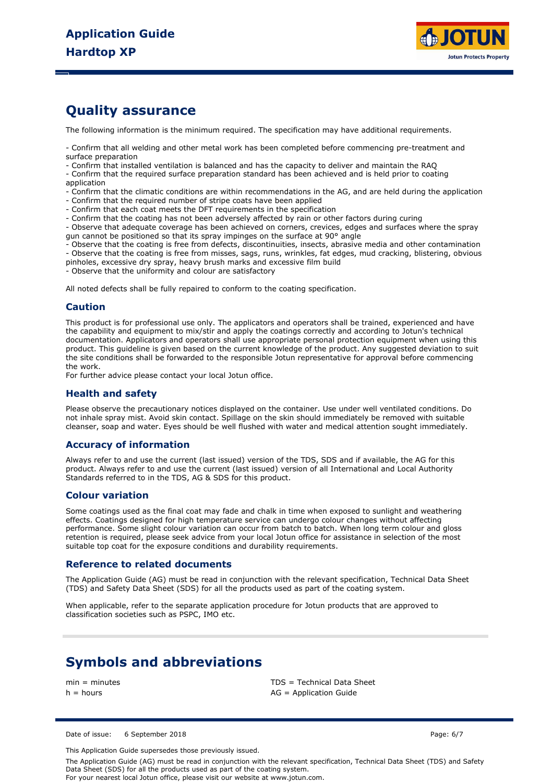

## **Quality assurance**

The following information is the minimum required. The specification may have additional requirements.

- Confirm that all welding and other metal work has been completed before commencing pre-treatment and surface preparation

- Confirm that installed ventilation is balanced and has the capacity to deliver and maintain the RAQ

- Confirm that the required surface preparation standard has been achieved and is held prior to coating application

- Confirm that the climatic conditions are within recommendations in the AG, and are held during the application

- Confirm that the required number of stripe coats have been applied
- Confirm that each coat meets the DFT requirements in the specification
- Confirm that the coating has not been adversely affected by rain or other factors during curing

- Observe that adequate coverage has been achieved on corners, crevices, edges and surfaces where the spray gun cannot be positioned so that its spray impinges on the surface at 90° angle

- Observe that the coating is free from defects, discontinuities, insects, abrasive media and other contamination

- Observe that the coating is free from misses, sags, runs, wrinkles, fat edges, mud cracking, blistering, obvious

pinholes, excessive dry spray, heavy brush marks and excessive film build

- Observe that the uniformity and colour are satisfactory

All noted defects shall be fully repaired to conform to the coating specification.

#### **Caution**

This product is for professional use only. The applicators and operators shall be trained, experienced and have the capability and equipment to mix/stir and apply the coatings correctly and according to Jotun's technical documentation. Applicators and operators shall use appropriate personal protection equipment when using this product. This guideline is given based on the current knowledge of the product. Any suggested deviation to suit the site conditions shall be forwarded to the responsible Jotun representative for approval before commencing the work.

For further advice please contact your local Jotun office.

### **Health and safety**

Please observe the precautionary notices displayed on the container. Use under well ventilated conditions. Do not inhale spray mist. Avoid skin contact. Spillage on the skin should immediately be removed with suitable cleanser, soap and water. Eyes should be well flushed with water and medical attention sought immediately.

### **Accuracy of information**

Always refer to and use the current (last issued) version of the TDS, SDS and if available, the AG for this product. Always refer to and use the current (last issued) version of all International and Local Authority Standards referred to in the TDS, AG & SDS for this product.

#### **Colour variation**

Some coatings used as the final coat may fade and chalk in time when exposed to sunlight and weathering effects. Coatings designed for high temperature service can undergo colour changes without affecting performance. Some slight colour variation can occur from batch to batch. When long term colour and gloss retention is required, please seek advice from your local Jotun office for assistance in selection of the most suitable top coat for the exposure conditions and durability requirements.

#### **Reference to related documents**

The Application Guide (AG) must be read in conjunction with the relevant specification, Technical Data Sheet (TDS) and Safety Data Sheet (SDS) for all the products used as part of the coating system.

When applicable, refer to the separate application procedure for Jotun products that are approved to classification societies such as PSPC, IMO etc.

## **Symbols and abbreviations**

min = minutes TDS = Technical Data Sheet  $h =$  hours  $AG =$  Application Guide

Date of issue: 6 September 2018 **Page: 6/7** Page: 6/7

This Application Guide supersedes those previously issued.